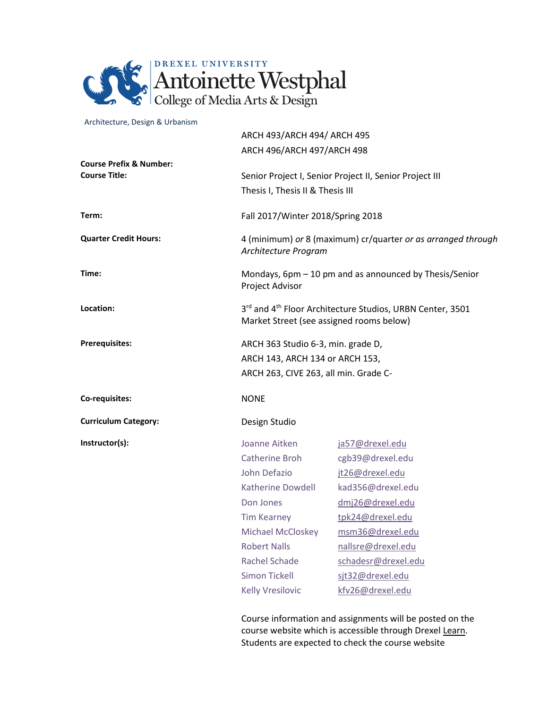

### Architecture, Design & Urbanism

|                                                            | ARCH 493/ARCH 494/ ARCH 495                                                                                                                                                                                                    |                                                                                                                                                                                                                              |  |  |  |
|------------------------------------------------------------|--------------------------------------------------------------------------------------------------------------------------------------------------------------------------------------------------------------------------------|------------------------------------------------------------------------------------------------------------------------------------------------------------------------------------------------------------------------------|--|--|--|
|                                                            | ARCH 496/ARCH 497/ARCH 498                                                                                                                                                                                                     |                                                                                                                                                                                                                              |  |  |  |
| <b>Course Prefix &amp; Number:</b><br><b>Course Title:</b> |                                                                                                                                                                                                                                | Senior Project I, Senior Project II, Senior Project III<br>Thesis I, Thesis II & Thesis III                                                                                                                                  |  |  |  |
| Term:                                                      |                                                                                                                                                                                                                                | Fall 2017/Winter 2018/Spring 2018                                                                                                                                                                                            |  |  |  |
| <b>Quarter Credit Hours:</b>                               |                                                                                                                                                                                                                                | 4 (minimum) or 8 (maximum) cr/quarter or as arranged through<br>Architecture Program                                                                                                                                         |  |  |  |
| Time:                                                      | Project Advisor                                                                                                                                                                                                                | Mondays, 6pm – 10 pm and as announced by Thesis/Senior                                                                                                                                                                       |  |  |  |
| Location:                                                  |                                                                                                                                                                                                                                | 3rd and 4 <sup>th</sup> Floor Architecture Studios, URBN Center, 3501<br>Market Street (see assigned rooms below)                                                                                                            |  |  |  |
| <b>Prerequisites:</b>                                      |                                                                                                                                                                                                                                | ARCH 363 Studio 6-3, min. grade D,<br>ARCH 143, ARCH 134 or ARCH 153,<br>ARCH 263, CIVE 263, all min. Grade C-                                                                                                               |  |  |  |
| Co-requisites:                                             | <b>NONE</b>                                                                                                                                                                                                                    |                                                                                                                                                                                                                              |  |  |  |
| <b>Curriculum Category:</b>                                | Design Studio                                                                                                                                                                                                                  |                                                                                                                                                                                                                              |  |  |  |
| Instructor(s):                                             | Joanne Aitken<br>Catherine Broh<br>John Defazio<br>Katherine Dowdell<br>Don Jones<br><b>Tim Kearney</b><br>Michael McCloskey<br><b>Robert Nalls</b><br><b>Rachel Schade</b><br><b>Simon Tickell</b><br><b>Kelly Vresilovic</b> | ja57@drexel.edu<br>cgb39@drexel.edu<br>jt26@drexel.edu<br>kad356@drexel.edu<br>dmj26@drexel.edu<br>tpk24@drexel.edu<br>msm36@drexel.edu<br>nallsre@drexel.edu<br>schadesr@drexel.edu<br>sjt32@drexel.edu<br>kfv26@drexel.edu |  |  |  |
|                                                            |                                                                                                                                                                                                                                |                                                                                                                                                                                                                              |  |  |  |

Course information and assignments will be posted on the course website which is accessible through Drexel [Learn.](https://learn.dcollege.net/) Students are expected to check the course website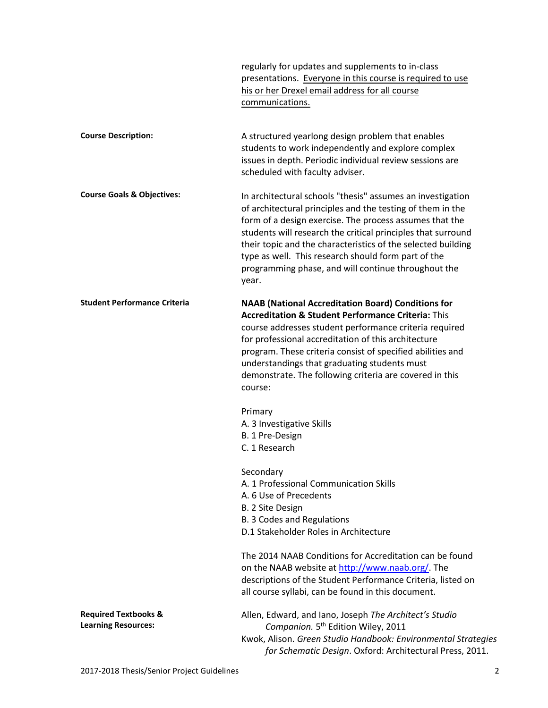|                                                               | regularly for updates and supplements to in-class<br>presentations. Everyone in this course is required to use<br>his or her Drexel email address for all course<br>communications.                                                                                                                                                                                                                                                        |  |  |  |
|---------------------------------------------------------------|--------------------------------------------------------------------------------------------------------------------------------------------------------------------------------------------------------------------------------------------------------------------------------------------------------------------------------------------------------------------------------------------------------------------------------------------|--|--|--|
| <b>Course Description:</b>                                    | A structured yearlong design problem that enables<br>students to work independently and explore complex<br>issues in depth. Periodic individual review sessions are<br>scheduled with faculty adviser.                                                                                                                                                                                                                                     |  |  |  |
| <b>Course Goals &amp; Objectives:</b>                         | In architectural schools "thesis" assumes an investigation<br>of architectural principles and the testing of them in the<br>form of a design exercise. The process assumes that the<br>students will research the critical principles that surround<br>their topic and the characteristics of the selected building<br>type as well. This research should form part of the<br>programming phase, and will continue throughout the<br>year. |  |  |  |
| <b>Student Performance Criteria</b>                           | <b>NAAB (National Accreditation Board) Conditions for</b><br><b>Accreditation &amp; Student Performance Criteria: This</b><br>course addresses student performance criteria required<br>for professional accreditation of this architecture<br>program. These criteria consist of specified abilities and<br>understandings that graduating students must<br>demonstrate. The following criteria are covered in this<br>course:            |  |  |  |
|                                                               | Primary<br>A. 3 Investigative Skills<br>B. 1 Pre-Design<br>C. 1 Research                                                                                                                                                                                                                                                                                                                                                                   |  |  |  |
|                                                               | Secondary<br>A. 1 Professional Communication Skills<br>A. 6 Use of Precedents<br>B. 2 Site Design<br><b>B. 3 Codes and Regulations</b><br>D.1 Stakeholder Roles in Architecture                                                                                                                                                                                                                                                            |  |  |  |
|                                                               | The 2014 NAAB Conditions for Accreditation can be found<br>on the NAAB website at http://www.naab.org/. The<br>descriptions of the Student Performance Criteria, listed on<br>all course syllabi, can be found in this document.                                                                                                                                                                                                           |  |  |  |
| <b>Required Textbooks &amp;</b><br><b>Learning Resources:</b> | Allen, Edward, and Iano, Joseph The Architect's Studio<br>Companion. 5 <sup>th</sup> Edition Wiley, 2011<br>Kwok, Alison. Green Studio Handbook: Environmental Strategies<br>for Schematic Design. Oxford: Architectural Press, 2011.                                                                                                                                                                                                      |  |  |  |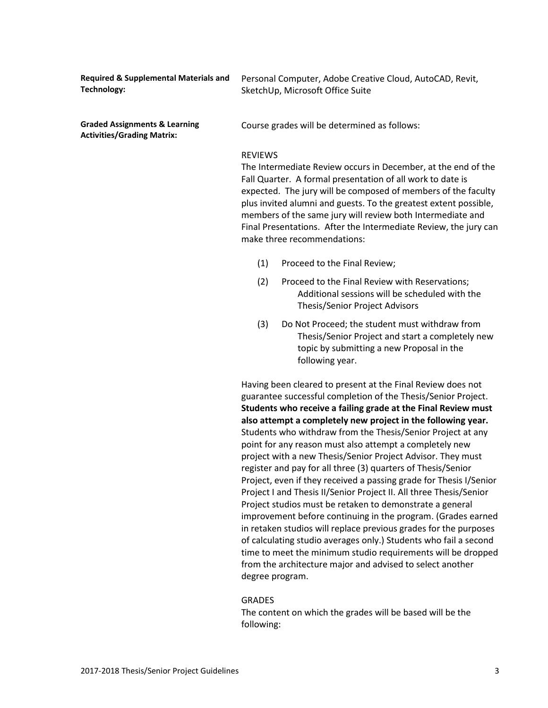| <b>Required &amp; Supplemental Materials and</b><br><b>Technology:</b>        | Personal Computer, Adobe Creative Cloud, AutoCAD, Revit,<br>SketchUp, Microsoft Office Suite                                                                                                                                                                                                                                                                                                                                                        |                                                                                                                                                                                                                                                                                                                              |  |
|-------------------------------------------------------------------------------|-----------------------------------------------------------------------------------------------------------------------------------------------------------------------------------------------------------------------------------------------------------------------------------------------------------------------------------------------------------------------------------------------------------------------------------------------------|------------------------------------------------------------------------------------------------------------------------------------------------------------------------------------------------------------------------------------------------------------------------------------------------------------------------------|--|
| <b>Graded Assignments &amp; Learning</b><br><b>Activities/Grading Matrix:</b> | Course grades will be determined as follows:                                                                                                                                                                                                                                                                                                                                                                                                        |                                                                                                                                                                                                                                                                                                                              |  |
|                                                                               | <b>REVIEWS</b><br>The Intermediate Review occurs in December, at the end of the<br>Fall Quarter. A formal presentation of all work to date is<br>expected. The jury will be composed of members of the faculty<br>plus invited alumni and guests. To the greatest extent possible,<br>members of the same jury will review both Intermediate and<br>Final Presentations. After the Intermediate Review, the jury can<br>make three recommendations: |                                                                                                                                                                                                                                                                                                                              |  |
|                                                                               | (1)                                                                                                                                                                                                                                                                                                                                                                                                                                                 | Proceed to the Final Review;                                                                                                                                                                                                                                                                                                 |  |
|                                                                               | (2)                                                                                                                                                                                                                                                                                                                                                                                                                                                 | Proceed to the Final Review with Reservations;<br>Additional sessions will be scheduled with the<br>Thesis/Senior Project Advisors                                                                                                                                                                                           |  |
|                                                                               | (3)                                                                                                                                                                                                                                                                                                                                                                                                                                                 | Do Not Proceed; the student must withdraw from<br>Thesis/Senior Project and start a completely new<br>topic by submitting a new Proposal in the<br>following year.                                                                                                                                                           |  |
|                                                                               |                                                                                                                                                                                                                                                                                                                                                                                                                                                     | Having been cleared to present at the Final Review does not<br>guarantee successful completion of the Thesis/Senior Project.<br>Students who receive a failing grade at the Final Review must<br>also attempt a completely new project in the following year.<br>Students who withdraw from the Thesis/Senior Project at any |  |

point for any reason must also attempt a completely new project with a new Thesis/Senior Project Advisor. They must register and pay for all three (3) quarters of Thesis/Senior Project, even if they received a passing grade for Thesis I/Senior Project I and Thesis II/Senior Project II. All three Thesis/Senior Project studios must be retaken to demonstrate a general improvement before continuing in the program. (Grades earned in retaken studios will replace previous grades for the purposes of calculating studio averages only.) Students who fail a second time to meet the minimum studio requirements will be dropped from the architecture major and advised to select another degree program.

### GRADES

The content on which the grades will be based will be the following: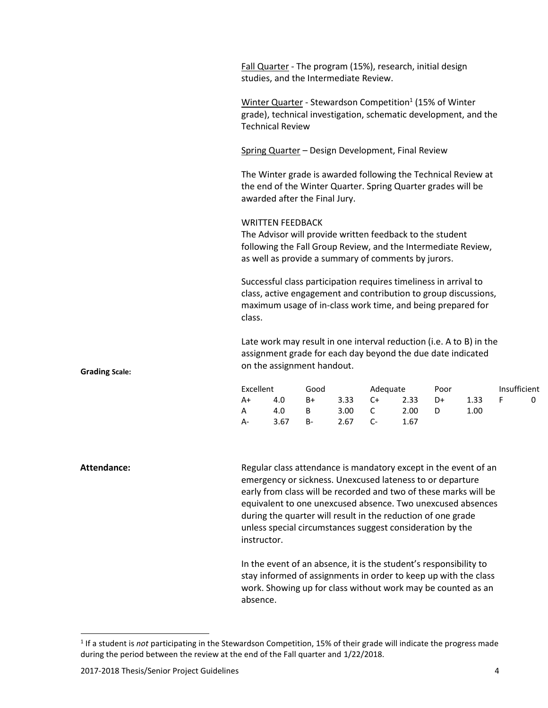Fall Quarter - The program (15%), research, initial design studies, and the Intermediate Review.

Winter Quarter - Stewardson Competition<sup>1</sup> (15% of Winter grade), technical investigation, schematic development, and the Technical Review

Spring Quarter – Design Development, Final Review

The Winter grade is awarded following the Technical Review at the end of the Winter Quarter. Spring Quarter grades will be awarded after the Final Jury.

### WRITTEN FEEDBACK

The Advisor will provide written feedback to the student following the Fall Group Review, and the Intermediate Review, as well as provide a summary of comments by jurors.

Successful class participation requires timeliness in arrival to class, active engagement and contribution to group discussions, maximum usage of in-class work time, and being prepared for class.

Late work may result in one interval reduction (i.e. A to B) in the assignment grade for each day beyond the due date indicated on the assignment handout.

| Excellent |      | Good |           | Adequate       |      | Poor |      | Insufficient |  |
|-----------|------|------|-----------|----------------|------|------|------|--------------|--|
| A+        | 4.0  | $B+$ | $3.33$ C+ |                | 2.33 | D+   | 1.33 |              |  |
| A         | 4.0  | B    | 3.00      | $\overline{C}$ | 2.00 | D    | 1.00 |              |  |
| A-        | 3.67 | B-   | 2.67      |                | 1.67 |      |      |              |  |

Attendance: **Regular class attendance is mandatory except in the event of an** emergency or sickness. Unexcused lateness to or departure early from class will be recorded and two of these marks will be equivalent to one unexcused absence. Two unexcused absences during the quarter will result in the reduction of one grade unless special circumstances suggest consideration by the instructor.

> In the event of an absence, it is the student's responsibility to stay informed of assignments in order to keep up with the class work. Showing up for class without work may be counted as an absence.

**Grading Scale:**

l

<sup>&</sup>lt;sup>1</sup> If a student is *not* participating in the Stewardson Competition, 15% of their grade will indicate the progress made during the period between the review at the end of the Fall quarter and 1/22/2018.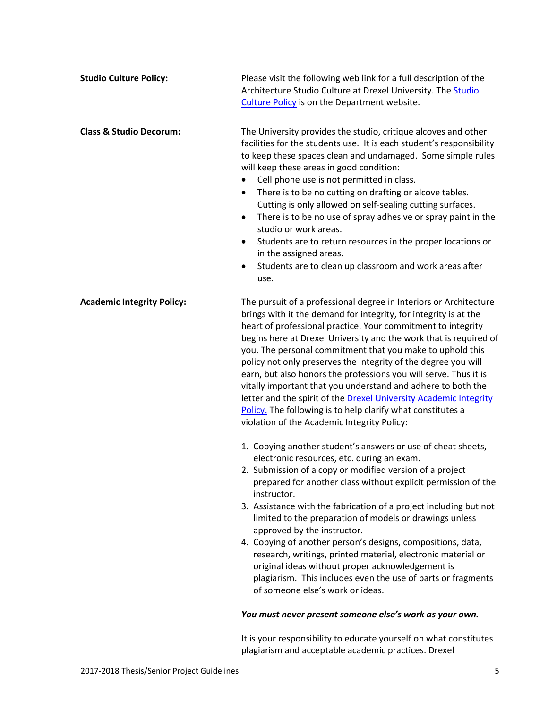| <b>Studio Culture Policy:</b>      | Please visit the following web link for a full description of the<br>Architecture Studio Culture at Drexel University. The Studio<br>Culture Policy is on the Department website.                                                                                                                                                                                                                                                                                                                                                                                                                                                                                                                                                |  |  |  |
|------------------------------------|----------------------------------------------------------------------------------------------------------------------------------------------------------------------------------------------------------------------------------------------------------------------------------------------------------------------------------------------------------------------------------------------------------------------------------------------------------------------------------------------------------------------------------------------------------------------------------------------------------------------------------------------------------------------------------------------------------------------------------|--|--|--|
| <b>Class &amp; Studio Decorum:</b> | The University provides the studio, critique alcoves and other<br>facilities for the students use. It is each student's responsibility<br>to keep these spaces clean and undamaged. Some simple rules<br>will keep these areas in good condition:<br>Cell phone use is not permitted in class.<br>There is to be no cutting on drafting or alcove tables.<br>$\bullet$<br>Cutting is only allowed on self-sealing cutting surfaces.<br>There is to be no use of spray adhesive or spray paint in the<br>٠<br>studio or work areas.<br>Students are to return resources in the proper locations or<br>$\bullet$<br>in the assigned areas.<br>Students are to clean up classroom and work areas after<br>$\bullet$<br>use.         |  |  |  |
| <b>Academic Integrity Policy:</b>  | The pursuit of a professional degree in Interiors or Architecture<br>brings with it the demand for integrity, for integrity is at the<br>heart of professional practice. Your commitment to integrity<br>begins here at Drexel University and the work that is required of<br>you. The personal commitment that you make to uphold this<br>policy not only preserves the integrity of the degree you will<br>earn, but also honors the professions you will serve. Thus it is<br>vitally important that you understand and adhere to both the<br>letter and the spirit of the Drexel University Academic Integrity<br>Policy. The following is to help clarify what constitutes a<br>violation of the Academic Integrity Policy: |  |  |  |
|                                    | 1. Copying another student's answers or use of cheat sheets,<br>electronic resources, etc. during an exam.<br>2. Submission of a copy or modified version of a project<br>prepared for another class without explicit permission of the<br>instructor.<br>3. Assistance with the fabrication of a project including but not<br>limited to the preparation of models or drawings unless<br>approved by the instructor.<br>4. Copying of another person's designs, compositions, data,<br>research, writings, printed material, electronic material or<br>original ideas without proper acknowledgement is<br>plagiarism. This includes even the use of parts or fragments<br>of someone else's work or ideas.                     |  |  |  |
|                                    | You must never present someone else's work as your own.                                                                                                                                                                                                                                                                                                                                                                                                                                                                                                                                                                                                                                                                          |  |  |  |
|                                    | It is your responsibility to educate yourself on what constitutes<br>plagiarism and acceptable academic practices. Drexel                                                                                                                                                                                                                                                                                                                                                                                                                                                                                                                                                                                                        |  |  |  |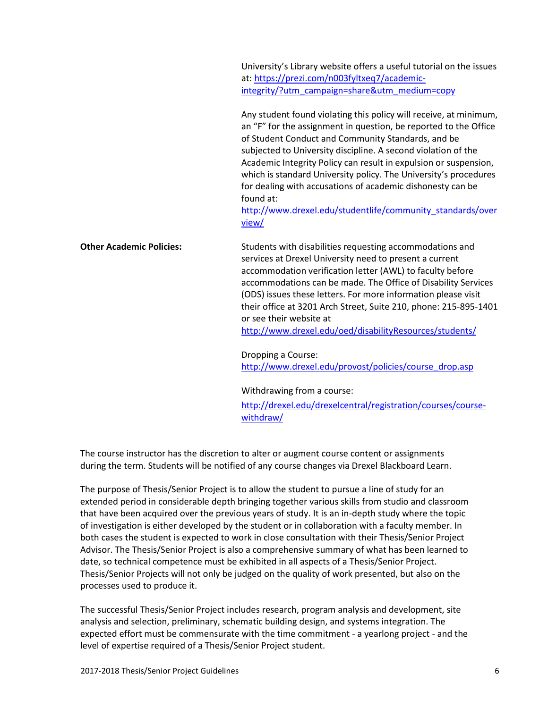University's Library website offers a useful tutorial on the issues at: [https://prezi.com/n003fyltxeq7/academic](https://prezi.com/n003fyltxeq7/academic-integrity/?utm_campaign=share&utm_medium=copy)[integrity/?utm\\_campaign=share&utm\\_medium=copy](https://prezi.com/n003fyltxeq7/academic-integrity/?utm_campaign=share&utm_medium=copy)

Any student found violating this policy will receive, at minimum, an "F" for the assignment in question, be reported to the Office of Student Conduct and Community Standards, and be subjected to University discipline. A second violation of the Academic Integrity Policy can result in expulsion or suspension, which is standard University policy. The University's procedures for dealing with accusations of academic dishonesty can be found at:

[http://www.drexel.edu/studentlife/community\\_standards/over](http://www.drexel.edu/studentlife/community_standards/overview/) [view/](http://www.drexel.edu/studentlife/community_standards/overview/)

**Other Academic Policies:** Students with disabilities requesting accommodations and services at Drexel University need to present a current accommodation verification letter (AWL) to faculty before accommodations can be made. The Office of Disability Services (ODS) issues these letters. For more information please visit their office at 3201 Arch Street, Suite 210, phone: 215-895-1401 or see their website at <http://www.drexel.edu/oed/disabilityResources/students/>

> Dropping a Course: [http://www.drexel.edu/provost/policies/course\\_drop.asp](http://www.drexel.edu/provost/policies/course_drop.asp)

Withdrawing from a course:

[http://drexel.edu/drexelcentral/registration/courses/course](http://drexel.edu/drexelcentral/registration/courses/course-withdraw/)[withdraw/](http://drexel.edu/drexelcentral/registration/courses/course-withdraw/)

The course instructor has the discretion to alter or augment course content or assignments during the term. Students will be notified of any course changes via Drexel Blackboard Learn.

The purpose of Thesis/Senior Project is to allow the student to pursue a line of study for an extended period in considerable depth bringing together various skills from studio and classroom that have been acquired over the previous years of study. It is an in-depth study where the topic of investigation is either developed by the student or in collaboration with a faculty member. In both cases the student is expected to work in close consultation with their Thesis/Senior Project Advisor. The Thesis/Senior Project is also a comprehensive summary of what has been learned to date, so technical competence must be exhibited in all aspects of a Thesis/Senior Project. Thesis/Senior Projects will not only be judged on the quality of work presented, but also on the processes used to produce it.

The successful Thesis/Senior Project includes research, program analysis and development, site analysis and selection, preliminary, schematic building design, and systems integration. The expected effort must be commensurate with the time commitment - a yearlong project - and the level of expertise required of a Thesis/Senior Project student.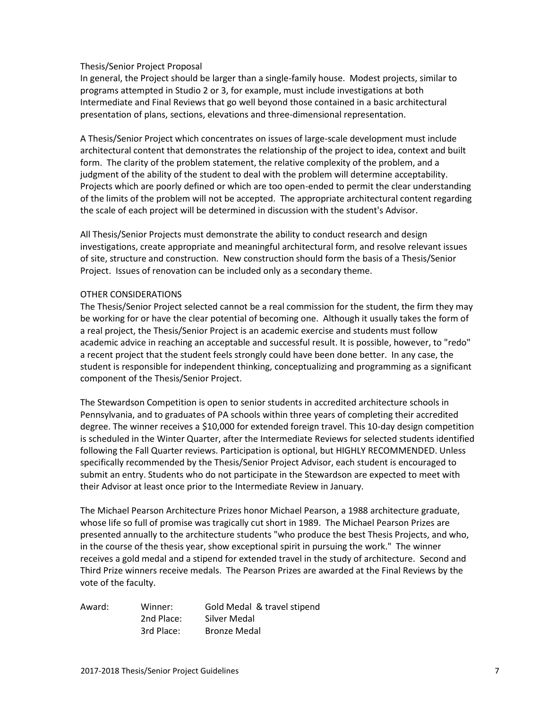## Thesis/Senior Project Proposal

In general, the Project should be larger than a single-family house. Modest projects, similar to programs attempted in Studio 2 or 3, for example, must include investigations at both Intermediate and Final Reviews that go well beyond those contained in a basic architectural presentation of plans, sections, elevations and three-dimensional representation.

A Thesis/Senior Project which concentrates on issues of large-scale development must include architectural content that demonstrates the relationship of the project to idea, context and built form. The clarity of the problem statement, the relative complexity of the problem, and a judgment of the ability of the student to deal with the problem will determine acceptability. Projects which are poorly defined or which are too open-ended to permit the clear understanding of the limits of the problem will not be accepted. The appropriate architectural content regarding the scale of each project will be determined in discussion with the student's Advisor.

All Thesis/Senior Projects must demonstrate the ability to conduct research and design investigations, create appropriate and meaningful architectural form, and resolve relevant issues of site, structure and construction. New construction should form the basis of a Thesis/Senior Project. Issues of renovation can be included only as a secondary theme.

## OTHER CONSIDERATIONS

The Thesis/Senior Project selected cannot be a real commission for the student, the firm they may be working for or have the clear potential of becoming one. Although it usually takes the form of a real project, the Thesis/Senior Project is an academic exercise and students must follow academic advice in reaching an acceptable and successful result. It is possible, however, to "redo" a recent project that the student feels strongly could have been done better. In any case, the student is responsible for independent thinking, conceptualizing and programming as a significant component of the Thesis/Senior Project.

The Stewardson Competition is open to senior students in accredited architecture schools in Pennsylvania, and to graduates of PA schools within three years of completing their accredited degree. The winner receives a \$10,000 for extended foreign travel. This 10-day design competition is scheduled in the Winter Quarter, after the Intermediate Reviews for selected students identified following the Fall Quarter reviews. Participation is optional, but HIGHLY RECOMMENDED. Unless specifically recommended by the Thesis/Senior Project Advisor, each student is encouraged to submit an entry. Students who do not participate in the Stewardson are expected to meet with their Advisor at least once prior to the Intermediate Review in January.

The Michael Pearson Architecture Prizes honor Michael Pearson, a 1988 architecture graduate, whose life so full of promise was tragically cut short in 1989. The Michael Pearson Prizes are presented annually to the architecture students "who produce the best Thesis Projects, and who, in the course of the thesis year, show exceptional spirit in pursuing the work." The winner receives a gold medal and a stipend for extended travel in the study of architecture. Second and Third Prize winners receive medals. The Pearson Prizes are awarded at the Final Reviews by the vote of the faculty.

| Award: | Winner:    | Gold Medal & travel stipend |
|--------|------------|-----------------------------|
|        | 2nd Place: | Silver Medal                |
|        | 3rd Place: | <b>Bronze Medal</b>         |